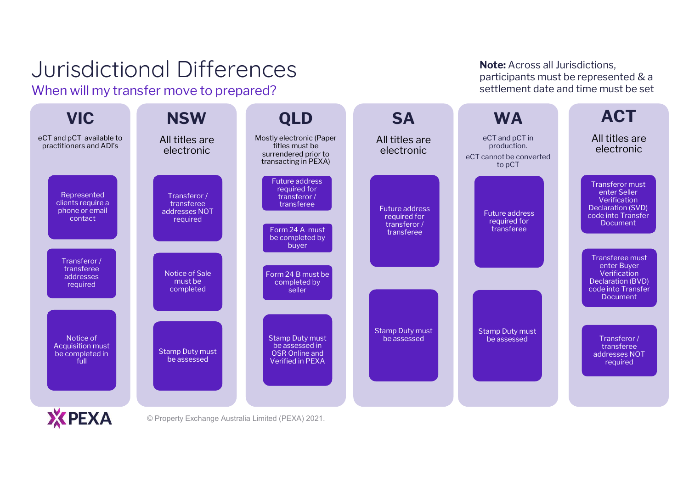When will my transfer move to prepared?

Urisdictional Diff<br>
Vhen will my transfer move to<br> **VIC NSW**<br>
ECT and pCT available to<br>
Practitioners and ADI's<br>
All titles are<br>
electronic **Note:** Across all Jurisdictions,<br>
barticipants must be represented & a<br>
settlement date and time must be set<br> **WA**<br>
eCT and pCT in<br>
production.<br>
cannot be converted<br>
to pCT **Note:** Across all Jurisdictions<br>participants must be represe<br>settlement date and time mu<br>**WA**<br>eCT and pCT in<br>Production.<br>ECT cannot be converted<br>to pCT **ACT** VIC NSW **SA WA** NSW QLD All titles are All titles are Mostly electronic (Paper All titles are titles must be practitioners and ADI's production. electronic electronic electronic production.<br>eCT cannot be converted surrendered prior to transacting in PEXA) to pCT Future address Transferor must required for enter Seller Represented Transferor / transferor / Verification clients require a transferee transferee Declaration (SVD) Future address phone or email addresses NOT Future address code into Transfer required for contact required required for transferor / Document Form 24 A must transferee transferee be completed by buyer Transferee must Transferor / enter Buyer transferee Notice of Sale Form 24 B must be **Verification** addresses must be Declaration (BVD) completed by required completed code into Transfer seller Document Stamp Duty must Stamp Duty must Notice of Stamp Duty must Transferor / be assessed be assessed Acquisition must be assessed in transferee Stamp Duty must be completed in OSR Online and addresses NOT be assessed Verified in PEXA full required **X** PEXA

Note: Across all Jurisdictions.

participants must be represented & a settlement date and time must be set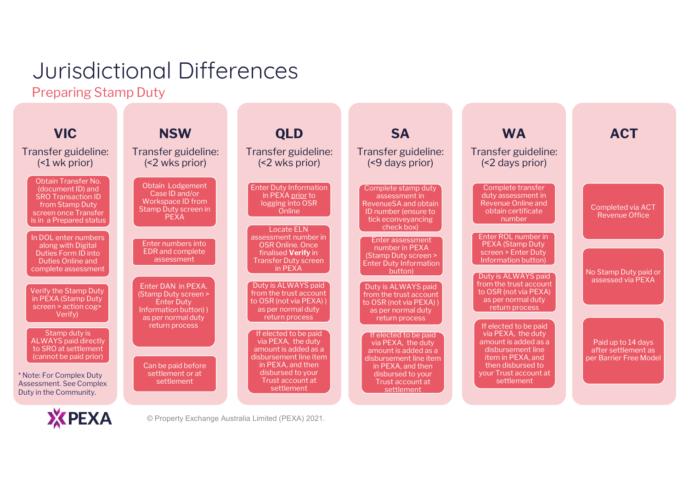Preparing Stamp Duty

| <b>ACT</b><br>Transfer guideline:                                   |
|---------------------------------------------------------------------|
|                                                                     |
|                                                                     |
| Completed via ACT<br><b>Revenue Office</b>                          |
| No Stamp Duty paid or<br>assessed via PEXA                          |
|                                                                     |
| Paid up to 14 days<br>after settlement as<br>per Barrier Free Model |
|                                                                     |

XPEXA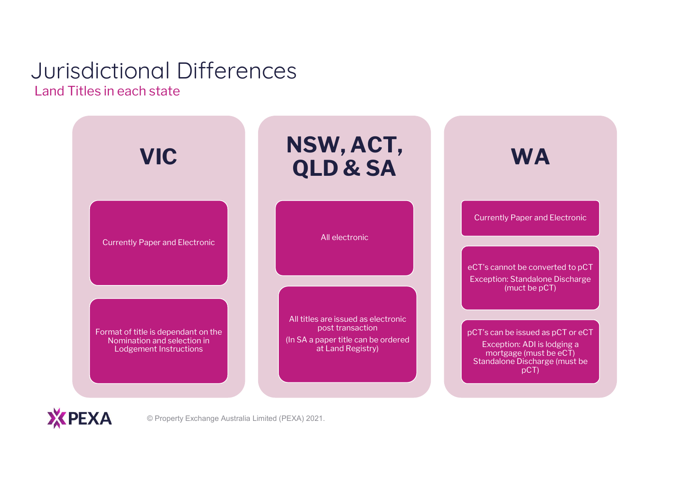#### Jurisdictional Differences Land Titles in each state



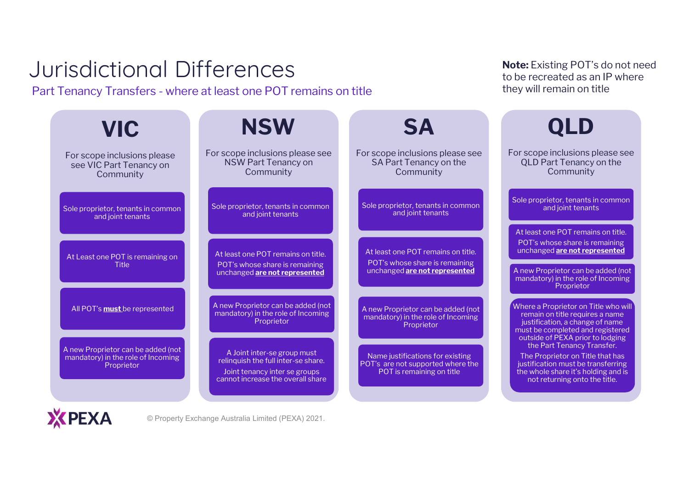# Jurisdictional Differences Part Tenancy Transfers - where at least one POT remains on title

| <b>VIC</b>                                                                             | <b>NSW</b>                                                                                                                               | <b>SA</b>                                                                                             | <b>QLD</b>                                                                                                                                                                         |
|----------------------------------------------------------------------------------------|------------------------------------------------------------------------------------------------------------------------------------------|-------------------------------------------------------------------------------------------------------|------------------------------------------------------------------------------------------------------------------------------------------------------------------------------------|
| For scope inclusions please<br>see VIC Part Tenancy on<br>Community                    | For scope inclusions please see<br>NSW Part Tenancy on<br>Community                                                                      | For scope inclusions please see<br>SA Part Tenancy on the<br>Community                                | For scope inclusions please see<br><b>QLD Part Tenancy on the</b><br>Community                                                                                                     |
| Sole proprietor, tenants in common<br>and joint tenants                                | Sole proprietor, tenants in common<br>and joint tenants                                                                                  | Sole proprietor, tenants in common<br>and joint tenants                                               | Sole proprietor, tenants in common<br>and joint tenants<br>At least one POT remains on title.                                                                                      |
| At Least one POT is remaining on<br><b>Title</b>                                       | At least one POT remains on title.<br>POT's whose share is remaining<br>unchanged are not represented                                    | At least one POT remains on title.<br>POT's whose share is remaining<br>unchanged are not represented | POT's whose share is remaining<br>unchanged are not represented<br>A new Proprietor can be added (not<br>mandatory) in the role of Incoming<br>Proprietor                          |
| All POT's must be represented                                                          | A new Proprietor can be added (not<br>mandatory) in the role of Incoming<br>Proprietor                                                   | A new Proprietor can be added (not<br>mandatory) in the role of Incoming<br>Proprietor                | Where a Proprietor on Title who will<br>remain on title requires a name<br>justification, a change of name<br>must be completed and registered<br>outside of PEXA prior to lodging |
| A new Proprietor can be added (not<br>mandatory) in the role of Incoming<br>Proprietor | A Joint inter-se group must<br>relinquish the full inter-se share.<br>Joint tenancy inter se groups<br>cannot increase the overall share | Name justifications for existing<br>POT's are not supported where the<br>POT is remaining on title    | the Part Tenancy Transfer.<br>The Proprietor on Title that has<br>justification must be transferring<br>the whole share it's holding and is<br>not returning onto the title.       |
| <b>KPEXA</b>                                                                           | © Property Exchange Australia Limited (PEXA) 2021.                                                                                       |                                                                                                       |                                                                                                                                                                                    |

Note: Existing POT's do not need to be recreated as an IP where they will remain on title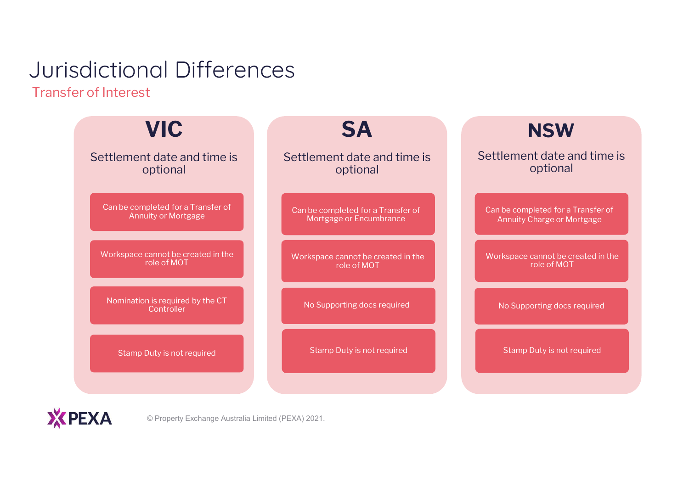Transfer of Interest

| <b>VIC</b>                                     | <b>SA</b>                          | <b>NSW</b>                         |
|------------------------------------------------|------------------------------------|------------------------------------|
| Settlement date and time is                    | Settlement date and time is        | Settlement date and time is        |
| optional                                       | optional                           | optional                           |
| Can be completed for a Transfer of             | Can be completed for a Transfer of | Can be completed for a Transfer of |
| <b>Annuity or Mortgage</b>                     | Mortgage or Encumbrance            | Annuity Charge or Mortgage         |
| Workspace cannot be created in the             | Workspace cannot be created in the | Workspace cannot be created in the |
| role of MOT                                    | role of MOT                        | role of MOT                        |
| Nomination is required by the CT<br>Controller | No Supporting docs required        | No Supporting docs required        |
| Stamp Duty is not required                     | Stamp Duty is not required         | Stamp Duty is not required         |

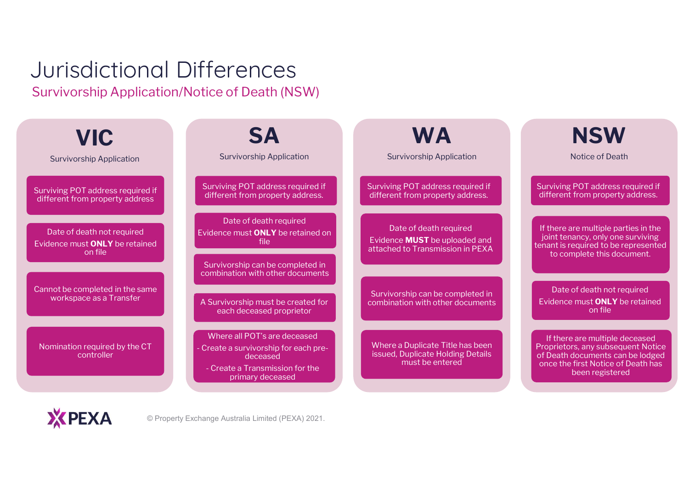### Jurisdictional Differences Survivorship Application/Notice of Death (NSW)

| <b>VIC</b><br><b>Survivorship Application</b>                                  | <b>SA</b><br><b>Survivorship Application</b>                                                                                           | WA<br><b>Survivorship Application</b>                                                              | <b>NSW</b><br>Notice of Death                                                                                                                                     |
|--------------------------------------------------------------------------------|----------------------------------------------------------------------------------------------------------------------------------------|----------------------------------------------------------------------------------------------------|-------------------------------------------------------------------------------------------------------------------------------------------------------------------|
| Surviving POT address required if<br>different from property address           | Surviving POT address required if<br>different from property address.                                                                  | Surviving POT address required if<br>different from property address.                              | Surviving POT address required if<br>different from property address.                                                                                             |
| Date of death not required<br>Evidence must <b>ONLY</b> be retained<br>on file | Date of death required<br>Evidence must ONLY be retained on<br>file<br>Survivorship can be completed in                                | Date of death required<br>Evidence <b>MUST</b> be uploaded and<br>attached to Transmission in PEXA | If there are multiple parties in the<br>joint tenancy, only one surviving<br>tenant is required to be represented<br>to complete this document.                   |
| Cannot be completed in the same<br>workspace as a Transfer                     | combination with other documents<br>A Survivorship must be created for<br>each deceased proprietor                                     | Survivorship can be completed in<br>combination with other documents                               | Date of death not required<br>Evidence must ONLY be retained<br>on file                                                                                           |
| Nomination required by the CT<br>controller                                    | Where all POT's are deceased<br>Create a survivorship for each pre-<br>deceased<br>- Create a Transmission for the<br>primary deceased | Where a Duplicate Title has been<br>issued, Duplicate Holding Details<br>must be entered           | If there are multiple deceased<br>Proprietors, any subsequent Notice<br>of Death documents can be lodged<br>once the first Notice of Death has<br>been registered |